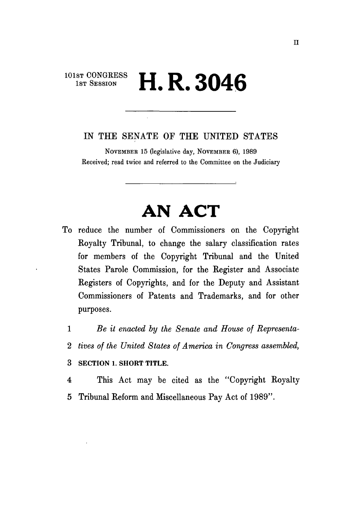## **101st CONGRESS**  $\bf{H.R.3046}$

## IN THE SENATE OF THE UNITED STATES

NOVEMBER 15 (legislative day, NOVEMBER 6), 1989 Received; read twice and referred to the Committee on the Judiciary

## **AN ACT**

- To reduce the number of Commissioners on the Copyright Royalty Tribunal, to change the salary classification rates for members of the Copyright Tribunal and the United States Parole Commission, for the Register and Associate Registers of Copyrights, and for the Deputy and Assistant Commissioners of Patents and Trademarks, and for other purposes.
	- 1 *Be it enacted by the Senate and House of Representa-*
	- 2 *tives of the United States of America in Congress assembled,*
	- **3 SECTION 1. SHORT TITLE.**
	- 4 This Act may be cited as the "Copyright Royalty 5 Tribunal Reform and Miscellaneous Pay Act of 1989".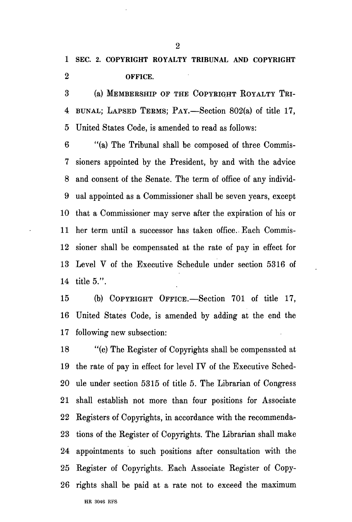**1 SEC. 2. COPYRIGHT ROYALTY TRIBUNAL AND COPYRIGHT 2 OFFICE.** 

3 (a) MEMBERSHIP OF THE COPYEIGHT ROYALTY TBI-4 BUNAL; LAPSED TEEMS; PAY.—Section 802(a) of title 17, 5 United States Code, is amended to read as follows:

6 "(a) The Tribunal shall be composed of three Commis-7 sioners appointed by the President, by and with the advice 8 and consent of the Senate. The term of office of any individ-9 ual appointed as a Commissioner shall be seven years, except 10 that a Commissioner may serve after the expiration of his or 11 her term until a successor has taken office. Each Commis-12 sioner shall be compensated at the rate of pay in effect for 13 Level V of the Executive Schedule under section 5316 of 14 title 5.".

15 (b) COPYRIGHT OFFICE.—Section 701 of title 17, 16 United States Code, is amended by adding at the end the 17 following new subsection:

18 "(e) The Register of Copyrights shall be compensated at 19 the rate of pay in effect for level IV of the Executive Sched-20 ule under section 5315 of title 5. The Librarian of Congress 21 shall establish not more than four positions for Associate 22 Registers of Copyrights, in accordance with the recommenda-23 tions of the Register of Copyrights. The Librarian shall make 24 appointments to such positions after consultation with the 25 Register of Copyrights. Each Associate Register of Copy-26 rights shall be paid at a rate not to exceed the maximum

2

HE 3046 RFS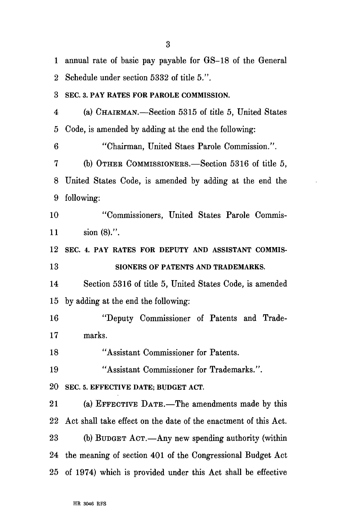1 annual rate of basic pay payable for GS-18 of the General 2 Schedule under section 5332 of title 5.". 3 SEC. 3. PAY RATES FOR PAROLE COMMISSION. 4 (a) CHAIEMAN.—Section 5315 of title 5, United States 5 Code, is amended by adding at the end the following: 6 "Chairman, United Staes Parole Commission.". 7 (b) OTHEK COMMISSIONEES.—Section 5316 of title 5, 8 United States Code, is amended by adding at the end the 9 following: 10 "Commissioners, United States Parole Commis-11 sion (8).". 12 SEC. 4. PAY RATES FOR DEPUTY AND ASSISTANT COMMIS-13 SIONERS OF PATENTS AND TRADEMARKS. 14 Section 5316 of title 5, United States Code, is amended 15 by adding at the end the following: 16 "Deputy Commissioner of Patents and Trade-17 marks. 18 "Assistant Commissioner for Patents. 19 "Assistant Commissioner for Trademarks.". 20 SEC. 5. EFFECTIVE DATE; BUDGET ACT. 21 (a) EFFECTIVE DATE.—The amendments made by this 22 Act shall take effect on the date of the enactment of this Act. 23 (b) BUDGET ACT.—Any new spending authority (within 24 the meaning of section 401 of the Congressional Budget Act 25 of 1974) which is provided under this Act shall be effective